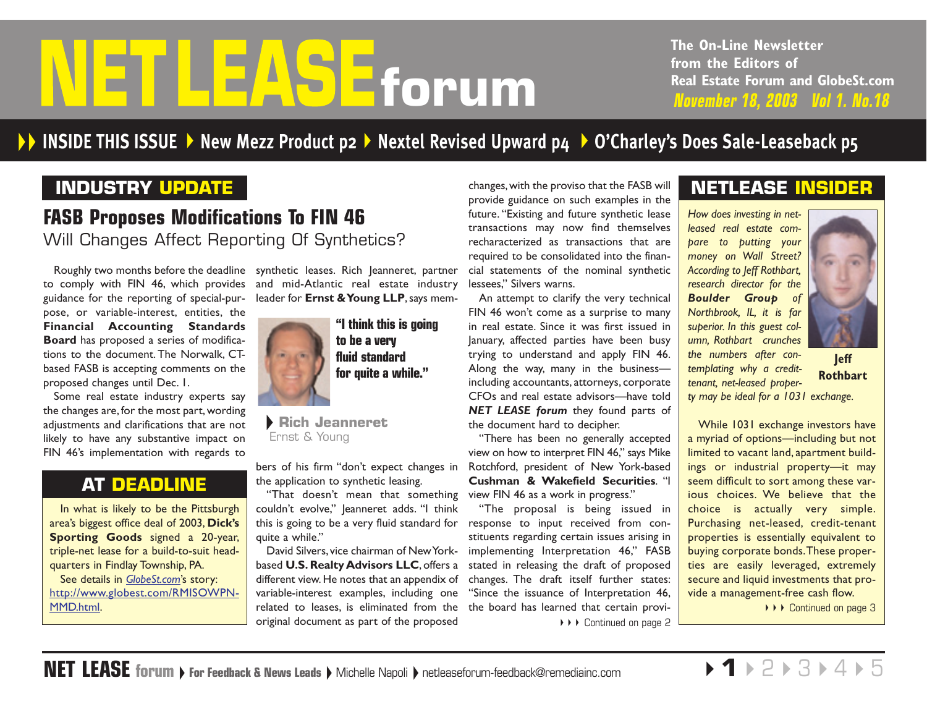# <span id="page-0-0"></span>**INSIDE THIS ISSUE**<br> **INSIDE THIS ISSUE**<br> **PRODUCT PRODUCT PROPULATE**<br> **INSIDE THIS ISSUE**<br> **PROPULATE**<br> **INSIDE THIS ISSUE**<br> **INSIDE THIS ISSUE**

**The On-Line Newsletter from the Editors of Real Estate Forum and GlobeSt.com**

### **INDUSTRY UPDATE**

# **FASB Proposes Modifications To FIN 46** Will Changes Affect Reporting Of Synthetics?

Roughly two months before the deadline synthetic leases. Rich Jeanneret, partner to comply with FIN 46, which provides guidance for the reporting of special-pur-leader for **Ernst & Young LLP**, says mem-

pose, or variable-interest, entities, the **Financial Accounting Standards Board** has proposed a series of modifications to the document. The Norwalk, CTbased FASB is accepting comments on the proposed changes until Dec. 1.

Some real estate industry experts say the changes are, for the most part, wording adjustments and clarifications that are not likely to have any substantive impact on FIN 46's implementation with regards to

### **AT DEADLINE**

In what is likely to be the Pittsburgh area's biggest office deal of 2003, **Dick's Sporting Goods** signed a 20-year, triple-net lease for a build-to-suit headquarters in Findlay Township, PA. See details in *[GlobeSt.com](http://www.globest.com)*'s story: [http://www.globest.com/RMISOWPN-](http://www.globest.com/RMISOWPNMMD.html.)MMD.html.

and mid-Atlantic real estate industry



**Rich Jeanneret** Ernst & Young

the application to synthetic leasing.

"That doesn't mean that something view FIN 46 as a work in progress." couldn't evolve," Jeanneret adds. "I think this is going to be a very fluid standard for response to input received from conquite a while."

David Silvers, vice chairman of New Yorkbased **U.S. Realty Advisors LLC**, offers a stated in releasing the draft of proposed different view. He notes that an appendix of  $\;$  changes. The  $\;$  draft  $\;$  itself  $\;$  further  $\;$  states: variable-interest examples, including one related to leases, is eliminated from the the board has le[arned that certain provi](#page-1-0)original document as part of the proposed

changes,with the proviso that the FASB will provide guidance on such examples in the future. "Existing and future synthetic lease transactions may now find themselves recharacterized as transactions that are required to be consolidated into the financial statements of the nominal synthetic lessees," Silvers warns.

An attempt to clarify the very technical FIN 46 won't come as a surprise to many in real estate. Since it was first issued in January, affected parties have been busy trying to understand and apply FIN 46. Along the way, many in the business including accountants, attorneys, corporate CFOs and real estate advisors—have told *NET LEASE forum* they found parts of the document hard to decipher.

bers of his firm "don't expect changes in Rotchford, president of New York-based "There has been no generally accepted view on how to interpret FIN 46," says Mike **Cushman & Wakefield Securities**. "I

> "The proposal is being issued in stituents regarding certain issues arising in implementing Interpretation 46," FASB "Since the issuance of Interpretation 46, ◆ ▶ ▶ Continued on page 2

## **NETLEASE INSIDER**

*How does investing in netleased real estate compare to putting your money on Wall Street? According to Jeff Rothbart, research director for the Boulder Group of Northbrook, IL, it is far* superior. In this guest col*umn, Rothbart crunches the numbers after contemplating why a credit-*



*tenant, net-leased property may be ideal for a 1031 exchange.* **Jeff Rothbart**

While 1031 exchange investors have a myriad of options—including but not limited to vacant land, apartment buildings or industrial property—it may seem difficult to sort among these various choices. We believe that the choice is actually very simple. Purchasing net-leased, credit-tenant properties is essentially equivalent to buying corporate bonds.These properties are easily leveraged, extremely secure and liquid investments that provide a management-free cash flow.

◆ ▶ ▶ [Continued on page 3](#page-2-0)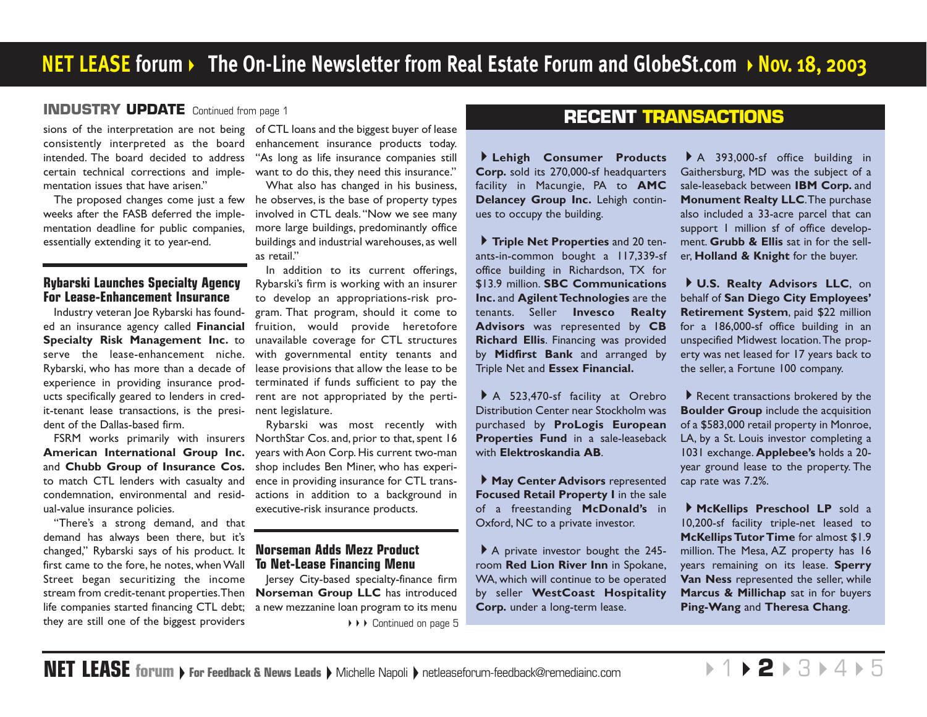### <span id="page-1-0"></span>**INDUSTRY UPDATE** [Continued from page 1](#page-0-0)

sions of the interpretation are not being of CTL loans and the biggest buyer of lease consistently interpreted as the board intended. The board decided to address certain technical corrections and implementation issues that have arisen."

The proposed changes come just a few weeks after the FASB deferred the implementation deadline for public companies, essentially extending it to year-end.

### **Rybarski Launches Specialty Agency For Lease-Enhancement Insurance**

Industry veteran Joe Rybarski has founded an insurance agency called **Financial Specialty Risk Management Inc.** to serve the lease-enhancement niche. Rybarski, who has more than a decade of experience in providing insurance products specifically geared to lenders in credit-tenant lease transactions, is the president of the Dallas-based firm.

**American International Group Inc.** and **Chubb Group of Insurance Cos.** to match CTL lenders with casualty and condemnation, environmental and residual-value insurance policies.

"There's a strong demand, and that demand has always been there, but it's changed," Rybarski says of his product. It **Norseman Adds Mezz Product** first came to the fore, he notes, when Wall Street began securitizing the income stream from credit-tenant properties.Then life companies started financing CTL debt; a new mezzanine loan program to its menu they are still one of the biggest providers

enhancement insurance products today. "As long as life insurance companies still want to do this, they need this insurance."

What also has changed in his business, he observes, is the base of property types involved in CTL deals."Now we see many more large buildings, predominantly office buildings and industrial warehouses, as well as retail"

In addition to its current offerings, Rybarski's firm is working with an insurer to develop an appropriations-risk program. That program, should it come to fruition, would provide heretofore unavailable coverage for CTL structures with governmental entity tenants and lease provisions that allow the lease to be terminated if funds sufficient to pay the rent are not appropriated by the pertinent legislature.

FSRM works primarily with insurers NorthStar Cos. and, prior to that, spent 16 Rybarski was most recently with years with Aon Corp. His current two-man shop includes Ben Miner, who has experience in providing insurance for CTL transactions in addition to a background in executive-risk insurance products.

# **To Net-Lease Financing Menu**

Jersey City-based specialty-finance firm **Norseman Group LLC** has introduced ▶▶▶ [Continued on page 5](#page-4-0)

### **RECENT TRANSACTIONS**

**Lehigh Consumer Products Corp.** sold its 270,000-sf headquarters facility in Macungie, PA to **AMC Delancey Group Inc.** Lehigh continues to occupy the building.

**Triple Net Properties** and 20 tenants-in-common bought a 117,339-sf office building in Richardson, TX for \$13.9 million. **SBC Communications Inc.** and **Agilent Technologies** are the tenants. Seller **Invesco Realty Advisors** was represented by **CB Richard Ellis**. Financing was provided by **Midfirst Bank** and arranged by Triple Net and **Essex Financial.**

A 523,470-sf facility at Orebro Distribution Center near Stockholm was purchased by **ProLogis European Properties Fund** in a sale-leaseback with **Elektroskandia AB**.

**May Center Advisors** represented **Focused Retail Property I** in the sale of a freestanding **McDonald's** in Oxford, NC to a private investor.

A private investor bought the 245room **Red Lion River Inn** in Spokane, WA, which will continue to be operated by seller **WestCoast Hospitality Corp.** under a long-term lease.

A 393,000-sf office building in Gaithersburg, MD was the subject of a sale-leaseback between **IBM Corp.** and **Monument Realty LLC**.The purchase also included a 33-acre parcel that can support 1 million sf of office development. **Grubb & Ellis** sat in for the seller, **Holland & Knight** for the buyer.

**U.S. Realty Advisors LLC**, on behalf of **San Diego City Employees' Retirement System**, paid \$22 million for a 186,000-sf office building in an unspecified Midwest location.The property was net leased for 17 years back to the seller, a Fortune 100 company.

Recent transactions brokered by the **Boulder Group** include the acquisition of a \$583,000 retail property in Monroe, LA, by a St. Louis investor completing a 1031 exchange. **Applebee's** holds a 20 year ground lease to the property. The cap rate was 7.2%.

**McKellips Preschool LP** sold a 10,200-sf facility triple-net leased to **McKellips Tutor Time** for almost \$1.9 million. The Mesa, AZ property has 16 years remaining on its lease. **Sperry Van Ness** represented the seller, while **Marcus & Millichap** sat in for buyers **Ping-Wang** and **Theresa Chang**.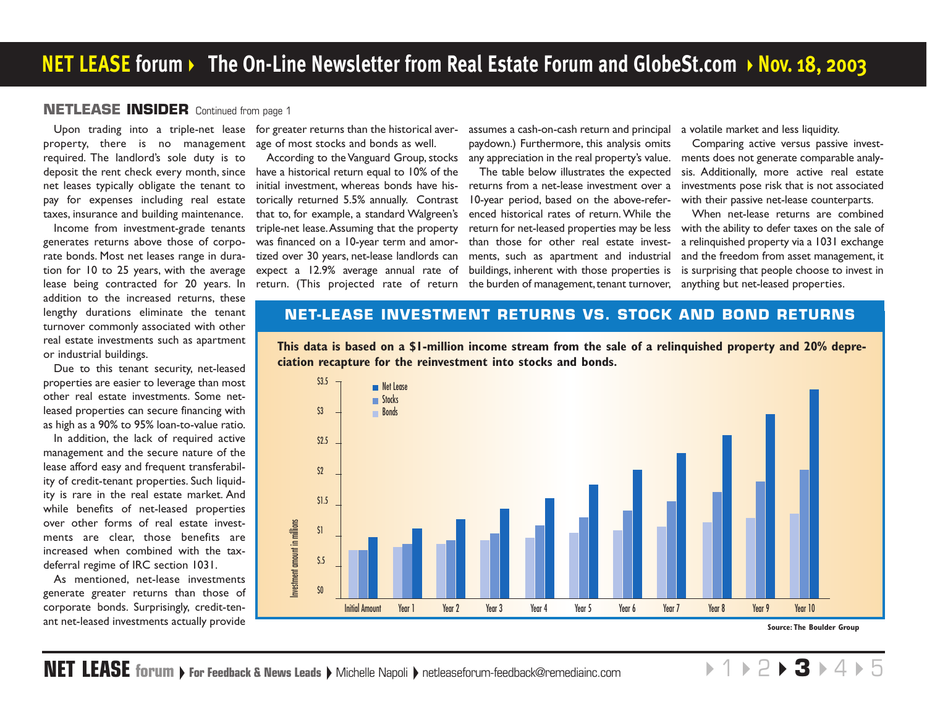### <span id="page-2-0"></span>**NETLEASE INSIDER** [Continued from page 1](#page-0-0)

property, there is no management age of most stocks and bonds as well. required. The landlord's sole duty is to deposit the rent check every month, since net leases typically obligate the tenant to pay for expenses including real estate taxes, insurance and building maintenance.

Income from investment-grade tenants generates returns above those of corporate bonds. Most net leases range in duration for 10 to 25 years, with the average lease being contracted for 20 years. In addition to the increased returns, these lengthy durations eliminate the tenant turnover commonly associated with other real estate investments such as apartment or industrial buildings.

Due to this tenant security, net-leased properties are easier to leverage than most other real estate investments. Some netleased properties can secure financing with as high as a 90% to 95% loan-to-value ratio.

In addition, the lack of required active management and the secure nature of the lease afford easy and frequent transferability of credit-tenant properties. Such liquidity is rare in the real estate market. And while benefits of net-leased properties over other forms of real estate investments are clear, those benefits are increased when combined with the taxdeferral regime of IRC section 1031.

As mentioned, net-lease investments generate greater returns than those of corporate bonds. Surprisingly, credit-tenant net-leased investments actually provide

Upon trading into a triple-net lease for greater returns than the historical aver-

According to the Vanguard Group, stocks have a historical return equal to 10% of the initial investment, whereas bonds have historically returned 5.5% annually. Contrast that to, for example, a standard Walgreen's triple-net lease.Assuming that the property was financed on a 10-year term and amortized over 30 years, net-lease landlords can expect a 12.9% average annual rate of

assumes a cash-on-cash return and principal a volatile market and less liquidity. paydown.) Furthermore, this analysis omits any appreciation in the real property's value.

return. (This projected rate of return the burden of management, tenant turnover, anything but net-leased properties. The table below illustrates the expected returns from a net-lease investment over a 10-year period, based on the above-referenced historical rates of return. While the than those for other real estate investments, such as apartment and industrial buildings, inherent with those properties is

Comparing active versus passive investments does not generate comparable analysis. Additionally, more active real estate investments pose risk that is not associated with their passive net-lease counterparts.

return for net-leased properties may be less with the ability to defer taxes on the sale of When net-lease returns are combined a relinquished property via a 1031 exchange and the freedom from asset management, it is surprising that people choose to invest in

### **NET-LEASE INVESTMENT RETURNS VS. STOCK AND BOND RETURNS**





**Source: The Boulder Group**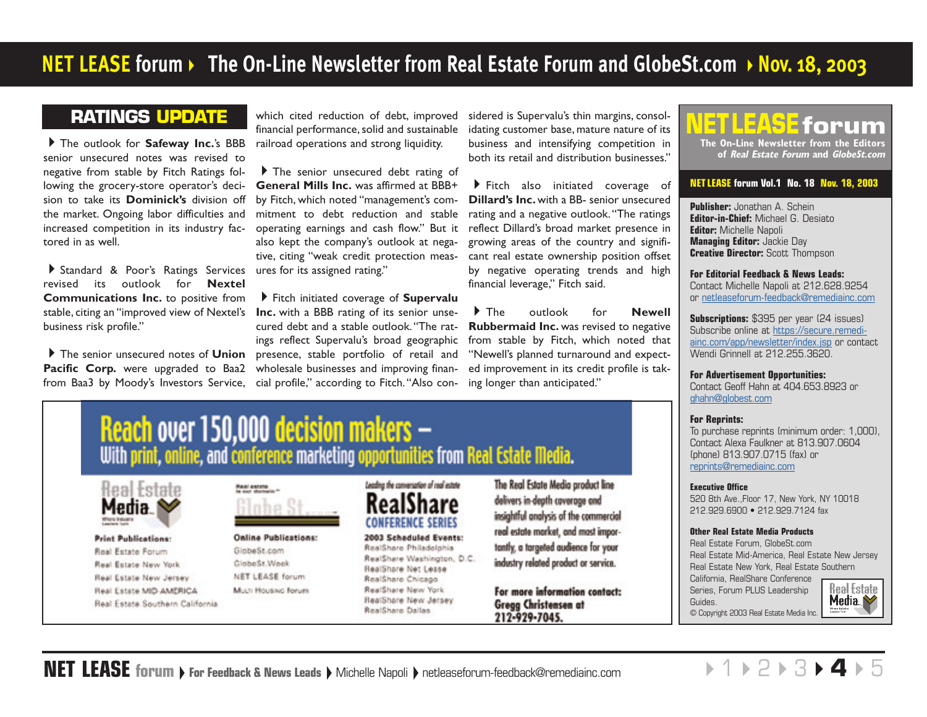### <span id="page-3-0"></span>**RATINGS UPDATE**

The outlook for **Safeway Inc.**'s BBB senior unsecured notes was revised to negative from stable by Fitch Ratings following the grocery-store operator's decision to take its **Dominick's** division off the market. Ongoing labor difficulties and increased competition in its industry factored in as well.

Standard & Poor's Ratings Services ures for its assigned rating." revised its outlook for **Nextel Communications Inc.** to positive from stable, citing an "improved view of Nextel's business risk profile."

The senior unsecured notes of **Union** Pacific Corp. were upgraded to Baa2 from Baa3 by Moody's Investors Service,

which cited reduction of debt, improved financial performance, solid and sustainable railroad operations and strong liquidity.

The senior unsecured debt rating of **General Mills Inc.** was affirmed at BBB+ by Fitch, which noted "management's commitment to debt reduction and stable operating earnings and cash flow." But it also kept the company's outlook at negative, citing "weak credit protection meas-

Fitch initiated coverage of **Supervalu Inc.** with a BBB rating of its senior unsecured debt and a stable outlook."The ratings reflect Supervalu's broad geographic presence, stable portfolio of retail and wholesale businesses and improving financial profile," according to Fitch."Also considered is Supervalu's thin margins, consol idating customer base, mature nature of its business and intensifying competition in both its retail and distribution businesses."

Fitch also initiated coverage of **Dillard's Inc.** with a BB- senior unsecured rating and a negative outlook."The ratings reflect Dillard's broad market presence in growing areas of the country and signifi cant real estate ownership position offset by negative operating trends and high financial leverage," Fitch said.

The outlook for **Newell Rubbermaid Inc.** was revised to negative from stable by Fitch, which noted that "Newell's planned turnaround and expect ed improvement in its credit profile is tak ing longer than anticipated."



### **NET LEASE forum Vol.1 No. 18 Nov. 18, 2003**

**Publisher:** Jonathan A. Schein **Editor-in-Chief:** Michael G. Desiato **Editor:** Michelle Napoli **Managing Editor:** Jackie Day **Creative Director:** Scott Thompson

**For Editorial Feedback & News Leads:**  Contact Michelle Napoli at 212.628.9254 [or netleaseforum-feedback@remediainc.com](mailto:netleaseforum-feedback@remediainc.com)

**Subscriptions:** \$395 per year (24 issues) [Subscribe online at https://secure.remedi](https://secure.remediainc.com/app/newsletter/index.jsp)ainc.com/app/newsletter/index.jsp or contact Wendi Grinnell at 212.255.3620.

**For Advertisement Opportunities:** Contact Geoff Hahn at 404.653.8923 or [ghahn@globest.com](mailto:ghahn@globest.com)

### **For Reprints:**

To purchase reprints (minimum order: 1,000), Contact Alexa Faulkner at 813.907.0604 (phone) 813.907.0715 (fax) or [reprints@remediainc.com](mailto:reprints@remediainc.com)

### **Executive Office**

520 8th Ave.,Floor 17, New York, NY 10018 212.929.6900 • 212.929.7124 fax

### **Other Real Estate Media Products**

Real Estate Forum, GlobeSt.com Real Estate Mid-America, Real Estate New Jersey Real Estate New York, Real Estate Southern California, RealShare Conference **Real Estate** Series, Forum PLUS Leadership Media  $\blacktriangleright$ Guides. © Copyright 2003 Real Estate Media Inc.



**Print Publications:** Real Estate Forum Real Estate New York Real Estate New Jersey Real Estate MID-AMERICA Real Estate Southern California



**Online Publications:** GlobeSt.com GlobeSt.Week NET LEASE forum Much Housing forum

2003 Scheduled Events:

RealShare Philadelphia RealShare Washington, D.C. RealShare Net Lesse RealShare Chicago RealShare New York RealShare New Jersey RealShare Dallas

delivers in-depth coverage and insightful analysis of the commercial real estate market, and mast importantly, a targeted audience for your industry related product or service.

For more information contact: **Gregg Christensen at** 212-929-7045.